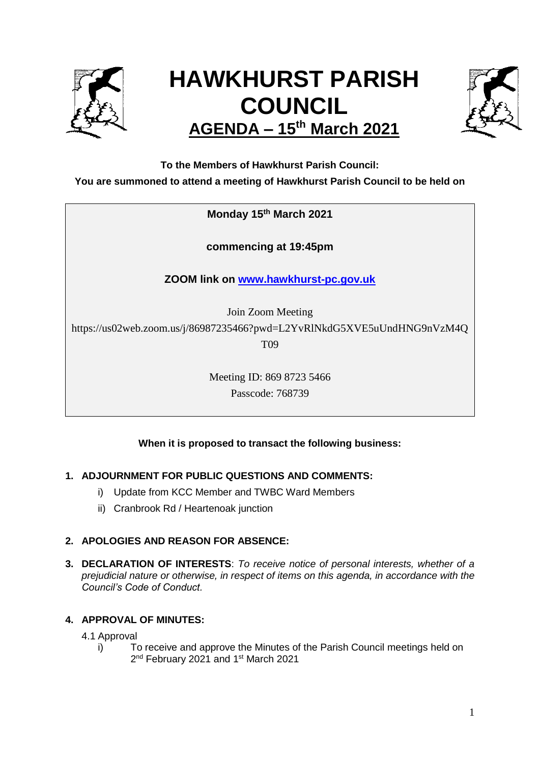

# **HAWKHURST PARISH COUNCIL AGENDA – 15th March 2021**



**To the Members of Hawkhurst Parish Council:**

**You are summoned to attend a meeting of Hawkhurst Parish Council to be held on**

**Monday 15th March 2021**

**commencing at 19:45pm**

**ZOOM link on [www.hawkhurst-pc.gov.uk](http://www.hawkhurst-pc.gov.uk/)**

Join Zoom Meeting

https://us02web.zoom.us/j/86987235466?pwd=L2YvRlNkdG5XVE5uUndHNG9nVzM4Q

T09

Meeting ID: 869 8723 5466 Passcode: 768739

## **When it is proposed to transact the following business:**

## **1. ADJOURNMENT FOR PUBLIC QUESTIONS AND COMMENTS:**

- i) Update from KCC Member and TWBC Ward Members
- ii) Cranbrook Rd / Heartenoak junction

## **2. APOLOGIES AND REASON FOR ABSENCE:**

**3. DECLARATION OF INTERESTS**: *To receive notice of personal interests, whether of a prejudicial nature or otherwise, in respect of items on this agenda, in accordance with the Council's Code of Conduct.*

## **4. APPROVAL OF MINUTES:**

4.1 Approval

i) To receive and approve the Minutes of the Parish Council meetings held on 2<sup>nd</sup> February 2021 and 1<sup>st</sup> March 2021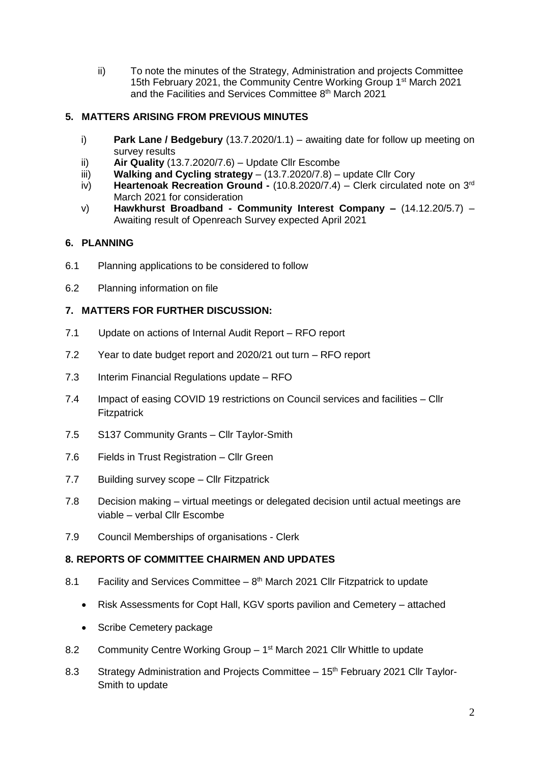ii) To note the minutes of the Strategy, Administration and projects Committee 15th February 2021, the Community Centre Working Group 1<sup>st</sup> March 2021 and the Facilities and Services Committee 8<sup>th</sup> March 2021

## **5. MATTERS ARISING FROM PREVIOUS MINUTES**

- i) **Park Lane / Bedgebury** (13.7.2020/1.1) awaiting date for follow up meeting on survey results
- ii) **Air Quality** (13.7.2020/7.6) Update Cllr Escombe
- iii) **Walking and Cycling strategy**  (13.7.2020/7.8) update Cllr Cory
- iv) **Heartenoak Recreation Ground -** (10.8.2020/7.4) Clerk circulated note on 3rd March 2021 for consideration
- v) **Hawkhurst Broadband - Community Interest Company –** (14.12.20/5.7) Awaiting result of Openreach Survey expected April 2021

#### **6. PLANNING**

- 6.1 Planning applications to be considered to follow
- 6.2 Planning information on file

#### **7. MATTERS FOR FURTHER DISCUSSION:**

- 7.1 Update on actions of Internal Audit Report RFO report
- 7.2 Year to date budget report and 2020/21 out turn RFO report
- 7.3 Interim Financial Regulations update RFO
- 7.4 Impact of easing COVID 19 restrictions on Council services and facilities Cllr **Fitzpatrick**
- 7.5 S137 Community Grants Cllr Taylor-Smith
- 7.6 Fields in Trust Registration Cllr Green
- 7.7 Building survey scope Cllr Fitzpatrick
- 7.8 Decision making virtual meetings or delegated decision until actual meetings are viable – verbal Cllr Escombe
- 7.9 Council Memberships of organisations Clerk

#### **8. REPORTS OF COMMITTEE CHAIRMEN AND UPDATES**

- 8.1 Facility and Services Committee  $-8<sup>th</sup>$  March 2021 Cllr Fitzpatrick to update
	- Risk Assessments for Copt Hall, KGV sports pavilion and Cemetery attached
	- Scribe Cemetery package
- 8.2 Community Centre Working Group 1<sup>st</sup> March 2021 Cllr Whittle to update
- 8.3 Strategy Administration and Projects Committee 15<sup>th</sup> February 2021 Cllr Taylor-Smith to update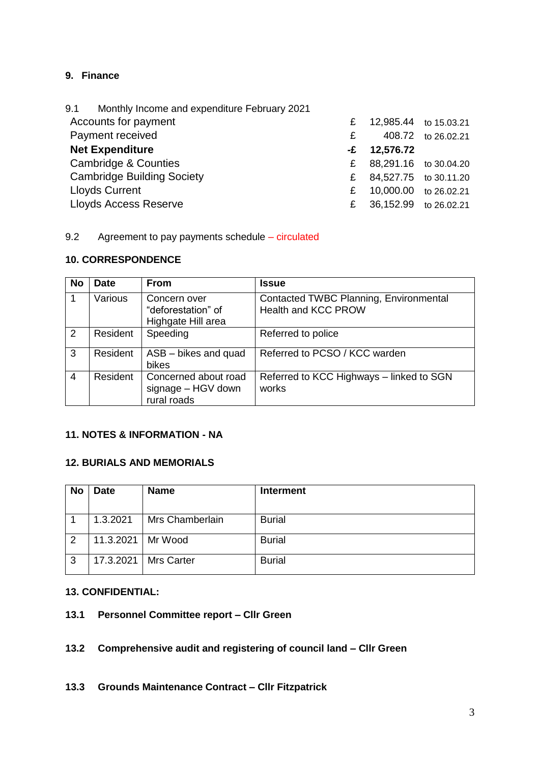# **9. Finance**

| 9.1 Monthly Income and expenditure February 2021 |      |                       |                       |
|--------------------------------------------------|------|-----------------------|-----------------------|
| Accounts for payment                             | £    | 12,985.44 to 15.03.21 |                       |
| Payment received                                 | £.   |                       | 408.72 to 26.02.21    |
| <b>Net Expenditure</b>                           | $-E$ | 12,576.72             |                       |
| Cambridge & Counties                             | £.   |                       | 88,291.16 to 30.04.20 |
| <b>Cambridge Building Society</b>                | £    | 84,527.75 to 30.11.20 |                       |
| <b>Lloyds Current</b>                            | £    | 10,000.00 to 26.02.21 |                       |
| <b>Lloyds Access Reserve</b>                     | £.   | 36,152.99 to 26.02.21 |                       |
|                                                  |      |                       |                       |

#### 9.2 Agreement to pay payments schedule – circulated

#### **10. CORRESPONDENCE**

| <b>No</b>      | <b>Date</b> | <b>From</b>                                               | <b>Issue</b>                                                  |
|----------------|-------------|-----------------------------------------------------------|---------------------------------------------------------------|
|                | Various     | Concern over<br>"deforestation" of<br>Highgate Hill area  | Contacted TWBC Planning, Environmental<br>Health and KCC PROW |
| 2              | Resident    | Speeding                                                  | Referred to police                                            |
| 3              | Resident    | ASB - bikes and quad<br>bikes                             | Referred to PCSO / KCC warden                                 |
| $\overline{4}$ | Resident    | Concerned about road<br>signage - HGV down<br>rural roads | Referred to KCC Highways - linked to SGN<br>works             |

## **11. NOTES & INFORMATION - NA**

## **12. BURIALS AND MEMORIALS**

| <b>No</b> | <b>Date</b> | <b>Name</b>       | <b>Interment</b> |
|-----------|-------------|-------------------|------------------|
|           | 1.3.2021    | Mrs Chamberlain   | <b>Burial</b>    |
| 2         | 11.3.2021   | Mr Wood           | <b>Burial</b>    |
| 3         | 17.3.2021   | <b>Mrs Carter</b> | <b>Burial</b>    |

#### **13. CONFIDENTIAL:**

## **13.1 Personnel Committee report – Cllr Green**

# **13.2 Comprehensive audit and registering of council land – Cllr Green**

#### **13.3 Grounds Maintenance Contract – Cllr Fitzpatrick**